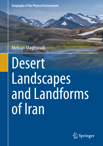**Geography of the Physical Environment**

Mehran Maghsoudi

# Desert Landscapes and Landforms of Iran

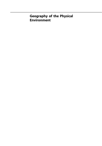# Geography of the Physical Environment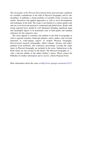The Geography of the Physical Environment book series provides a platform for scientific contributions in the field of Physical Geography and its subdisciplines. It publishes a broad portfolio of scientific books covering case studies, theoretical and applied approaches as well as novel developments and techniques in the field. The scope is not limited to a certain spatial scale and can cover local and regional to continental and global facets. Books with strong regional focus should be well illustrated including significant maps and meaningful figures to be potentially used as field guides and standard references for the respective area.

The series appeals to scientists and students in the field of geography as well as regional scientists, landscape planners, policy makers, and everyone interested in wide-ranging aspects of modern Physical Geography. Peer-reviewed research monographs, edited volumes, advance and undergraduate level textbooks, and conference proceedings covering the major topics in Physical Geography are included in the series. Submissions to the Book Series are also invited on the theme 'The Physical Geography of…', with a relevant subtitle of the author's/editor's choice. Please contact the Publisher for further information and to receive a Book Proposal Form.

More information about this series at <http://www.springer.com/series/15117>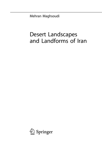Mehran Maghsoudi

# Desert Landscapes and Landforms of Iran

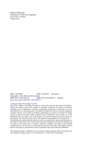Mehran Maghsoudi Department of Physical Geography University of Tehran Tehran, Iran

ISSN 2366-8865 ISSN 2366-8873 (electronic) Geography of the Physical Environment<br>ISBN 978-3-030-58911-0 ISBN ISBN 978-3-030-58912-7 (eBook) <https://doi.org/10.1007/978-3-030-58912-7>

#### © Springer Nature Switzerland AG 2021

This work is subject to copyright. All rights are solely and exclusively licensed by the Publisher, whether the whole or part of the material is concerned, specifically the rights of translation, reprinting, reuse of illustrations, recitation, broadcasting, reproduction on microfilms or in any other physical way, and transmission or information storage and retrieval, electronic adaptation, computer software, or by similar or dissimilar methodology now known or hereafter developed. The use of general descriptive names, registered names, trademarks, service marks, etc. in this publication does not imply, even in the absence of a specific statement, that such names are exempt from the relevant protective laws and regulations and therefore free for general use. The publisher, the authors and the editors are safe to assume that the advice and information in this book are believed to be true and accurate at the date of publication. Neither the publisher nor the authors or the editors give a warranty, expressed or implied, with respect to the material contained herein or for any errors or omissions that may have been made. The publisher remains neutral with regard to jurisdictional claims in published maps and institutional affiliations.

This Springer imprint is published by the registered company Springer Nature Switzerland AG The registered company address is: Gewerbestrasse 11, 6330 Cham, Switzerland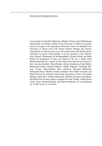### Acknowledgements

I am grateful to Farajollah Mahmoudi, Mojtaba Yamani, Seyed Mohammad Zamanzadeh, and faculty members of the University of Tehran for scientific advice at all stages in the preparation of this book. Also, I am thankful to the University of Tehran and to the Iranian Cultural Heritage and Tourism Organization for allowing me to go to the interior part of the Iranian Desert, especially Lut Desert world heritage. I am also grateful to Amir Moradi, Anvar Moradi, Mohammad Ali Nezammahalleh, Afsaneh Ehdaei and Omid Rahimi for preparation of maps and editing of the text. I thank Vhaid Mohammadnezhad for courtesy of some maps about alluvial fan evolution in Iran. I am also thankful to Hojat Kamali, Alireza Amrikazemi, Sahar Maleki, Mohammad Gaeini, Ebrahim Nikkhoo, Mehdi Yaghoubi, Nourollah Nikpour, Younes Sharyatmadari, Reza Safaeirad, Daryoush Mehrshahi, Mohammad Reza Taherdin, Esmaeil Allahpour, Reza Khlili Varzaneh, and Matin Setayesh for assistance in providing some photos of Iran. I also thank Springer, particularly Ambrose Berkumans, Michael Leuchner, Doris Bleier, and Robert Doe for their support to prepare this book. Finally, I thank Moein Afzali, Seyed Ahmad Rounaghi, and Hamed Shadravan for accompanying me in field survey in Lut Desert.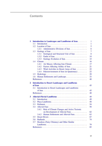## **Contents**

|          | Introduction to Landscapes and Landforms of Iran     |
|----------|------------------------------------------------------|
| 1.1      |                                                      |
| 1.2.     |                                                      |
|          | Administrative Divisions of Iran<br>1.2.1            |
| 1.3      |                                                      |
|          | 1.3.1<br>Geological and Structural Unit of Iran      |
|          | 1.3.2                                                |
|          | 1.3.3                                                |
| 1.4      |                                                      |
|          | Air Masses Affecting Iran Climate<br>1.4.1           |
|          | Factors Affecting Aridity of Iran<br>1.4.2.          |
|          | Wind Activities in Desert Areas of Iran<br>1.4.3     |
|          | 1.4.4<br>Paleoenvironment of Iran (in Quaternary)    |
| 1.5      |                                                      |
| 1.6      | Human Settlements and Landscape                      |
|          |                                                      |
|          |                                                      |
| 2.1      | Introduction to Desert Landscapes and Landforms      |
|          |                                                      |
|          |                                                      |
| 3.1      |                                                      |
| 3.2      | Playa Landforms                                      |
| 3.3      |                                                      |
| 3.4      |                                                      |
|          | 3.4.1<br>Role of Climate Changes and Active Tectonic |
|          | on Development of Alluvial Fans                      |
|          | Human Settlements and Alluvial Fans.<br>3.4.2        |
| 3.5      |                                                      |
| 3.6      |                                                      |
| 3<br>3.7 | Hoodoos (Fairy Chimney) and Other Similar            |